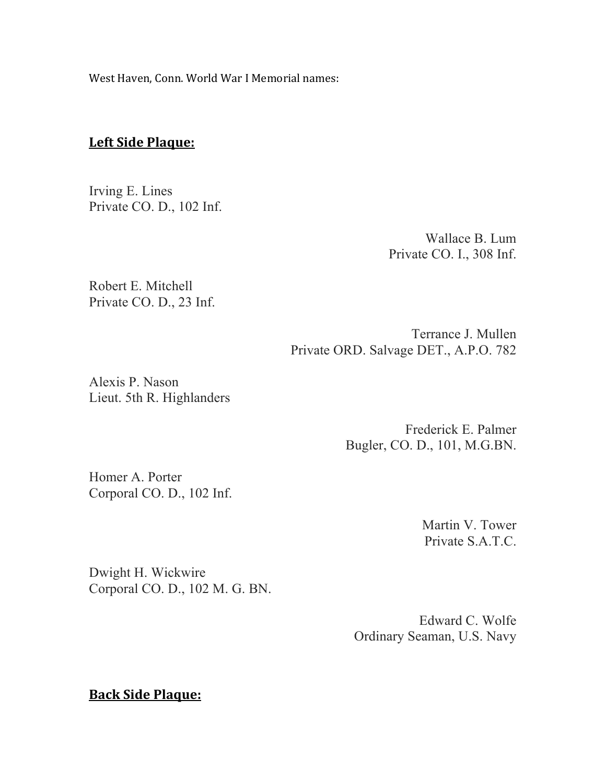West Haven, Conn. World War I Memorial names:

## **Left Side Plaque:**

Irving E. Lines Private CO. D., 102 Inf.

> Wallace B. Lum Private CO. I., 308 Inf.

Robert E. Mitchell Private CO. D., 23 Inf.

> Terrance J. Mullen Private ORD. Salvage DET., A.P.O. 782

Alexis P. Nason Lieut. 5th R. Highlanders

> Frederick E. Palmer Bugler, CO. D., 101, M.G.BN.

Homer A. Porter Corporal CO. D., 102 Inf.

> Martin V. Tower Private S.A.T.C.

Dwight H. Wickwire Corporal CO. D., 102 M. G. BN.

> Edward C. Wolfe Ordinary Seaman, U.S. Navy

**Back Side Plaque:**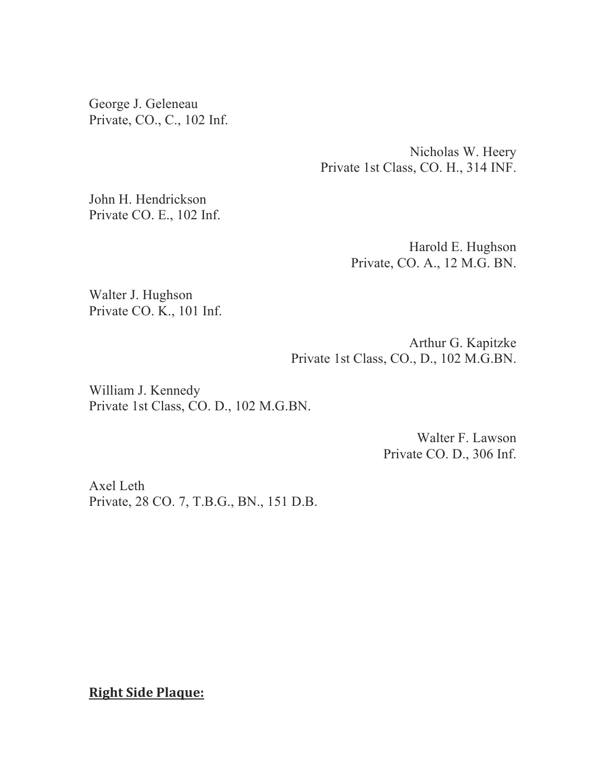George J. Geleneau Private, CO., C., 102 Inf.

> Nicholas W. Heery Private 1st Class, CO. H., 314 INF.

John H. Hendrickson Private CO. E., 102 Inf.

> Harold E. Hughson Private, CO. A., 12 M.G. BN.

Walter J. Hughson Private CO. K., 101 Inf.

> Arthur G. Kapitzke Private 1st Class, CO., D., 102 M.G.BN.

William J. Kennedy Private 1st Class, CO. D., 102 M.G.BN.

> Walter F. Lawson Private CO. D., 306 Inf.

Axel Leth Private, 28 CO. 7, T.B.G., BN., 151 D.B.

**Right Side Plaque:**